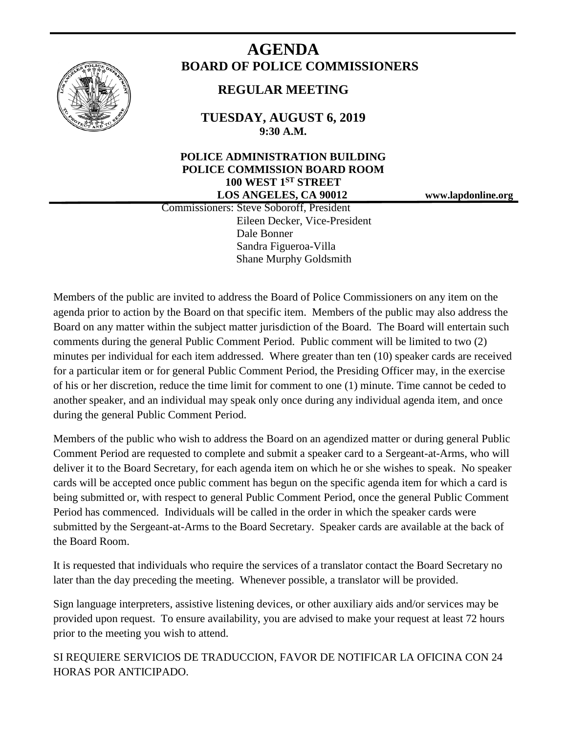

# **AGENDA BOARD OF POLICE COMMISSIONERS**

# **REGULAR MEETING**

**TUESDAY, AUGUST 6, 2019 9:30 A.M.**

# **POLICE ADMINISTRATION BUILDING POLICE COMMISSION BOARD ROOM 100 WEST 1ST STREET LOS ANGELES, CA 90012 www.lapdonline.org**

 Commissioners: Steve Soboroff, President Eileen Decker, Vice-President Dale Bonner Sandra Figueroa-Villa Shane Murphy Goldsmith

Members of the public are invited to address the Board of Police Commissioners on any item on the agenda prior to action by the Board on that specific item. Members of the public may also address the Board on any matter within the subject matter jurisdiction of the Board. The Board will entertain such comments during the general Public Comment Period. Public comment will be limited to two (2) minutes per individual for each item addressed. Where greater than ten (10) speaker cards are received for a particular item or for general Public Comment Period, the Presiding Officer may, in the exercise of his or her discretion, reduce the time limit for comment to one (1) minute. Time cannot be ceded to another speaker, and an individual may speak only once during any individual agenda item, and once during the general Public Comment Period.

Members of the public who wish to address the Board on an agendized matter or during general Public Comment Period are requested to complete and submit a speaker card to a Sergeant-at-Arms, who will deliver it to the Board Secretary, for each agenda item on which he or she wishes to speak. No speaker cards will be accepted once public comment has begun on the specific agenda item for which a card is being submitted or, with respect to general Public Comment Period, once the general Public Comment Period has commenced. Individuals will be called in the order in which the speaker cards were submitted by the Sergeant-at-Arms to the Board Secretary. Speaker cards are available at the back of the Board Room.

It is requested that individuals who require the services of a translator contact the Board Secretary no later than the day preceding the meeting. Whenever possible, a translator will be provided.

Sign language interpreters, assistive listening devices, or other auxiliary aids and/or services may be provided upon request. To ensure availability, you are advised to make your request at least 72 hours prior to the meeting you wish to attend.

SI REQUIERE SERVICIOS DE TRADUCCION, FAVOR DE NOTIFICAR LA OFICINA CON 24 HORAS POR ANTICIPADO.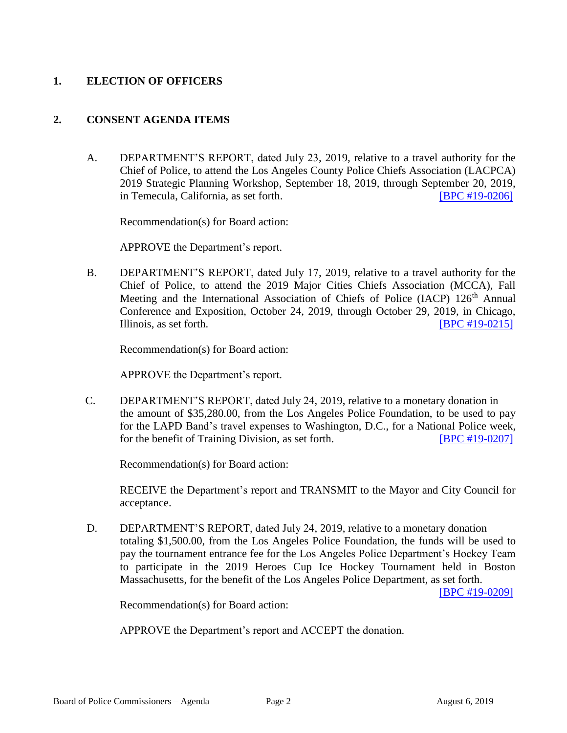## **1. ELECTION OF OFFICERS**

#### **2. CONSENT AGENDA ITEMS**

A. DEPARTMENT'S REPORT, dated July 23, 2019, relative to a travel authority for the Chief of Police, to attend the Los Angeles County Police Chiefs Association (LACPCA) 2019 Strategic Planning Workshop, September 18, 2019, through September 20, 2019, in Temecula, California, as set forth. [\[BPC #19-0206\]](http://www.lapdpolicecom.lacity.org/080619/BPC_19-0206.pdf)

Recommendation(s) for Board action:

APPROVE the Department's report.

B. DEPARTMENT'S REPORT, dated July 17, 2019, relative to a travel authority for the Chief of Police, to attend the 2019 Major Cities Chiefs Association (MCCA), Fall Meeting and the International Association of Chiefs of Police (IACP) 126<sup>th</sup> Annual Conference and Exposition, October 24, 2019, through October 29, 2019, in Chicago, Illinois, as set forth. **Illinois**, as set forth. **Illinois**, as set forth.

Recommendation(s) for Board action:

APPROVE the Department's report.

C. DEPARTMENT'S REPORT, dated July 24, 2019, relative to a monetary donation in the amount of \$35,280.00, from the Los Angeles Police Foundation, to be used to pay for the LAPD Band's travel expenses to Washington, D.C., for a National Police week, for the benefit of Training Division, as set forth. **[\[BPC #19-0207\]](http://www.lapdpolicecom.lacity.org/080619/BPC_19-0207.pdf)** 

Recommendation(s) for Board action:

RECEIVE the Department's report and TRANSMIT to the Mayor and City Council for acceptance.

D. DEPARTMENT'S REPORT, dated July 24, 2019, relative to a monetary donation totaling \$1,500.00, from the Los Angeles Police Foundation, the funds will be used to pay the tournament entrance fee for the Los Angeles Police Department's Hockey Team to participate in the 2019 Heroes Cup Ice Hockey Tournament held in Boston Massachusetts, for the benefit of the Los Angeles Police Department, as set forth.

[\[BPC #19-0209\]](http://www.lapdpolicecom.lacity.org/080619/BPC_19-0209.pdf)

Recommendation(s) for Board action:

APPROVE the Department's report and ACCEPT the donation.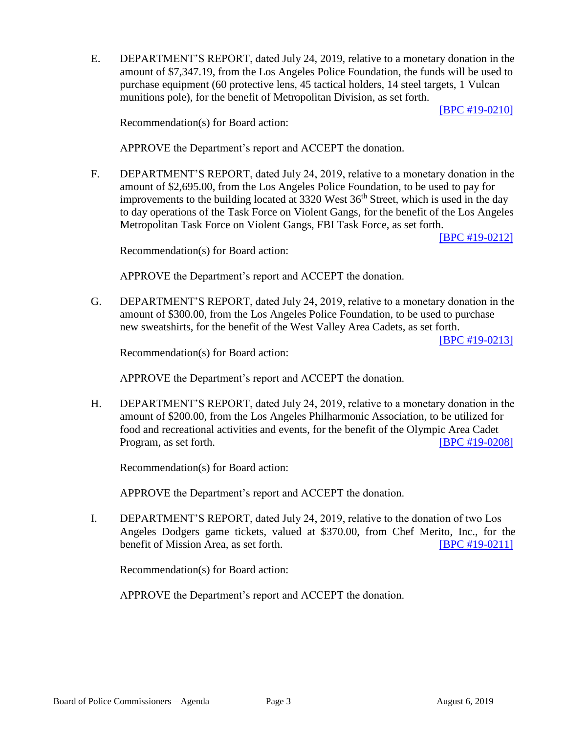E. DEPARTMENT'S REPORT, dated July 24, 2019, relative to a monetary donation in the amount of \$7,347.19, from the Los Angeles Police Foundation, the funds will be used to purchase equipment (60 protective lens, 45 tactical holders, 14 steel targets, 1 Vulcan munitions pole), for the benefit of Metropolitan Division, as set forth.

[\[BPC #19-0210\]](http://www.lapdpolicecom.lacity.org/080619/BPC_19-0210.pdf)

Recommendation(s) for Board action:

APPROVE the Department's report and ACCEPT the donation.

F. DEPARTMENT'S REPORT, dated July 24, 2019, relative to a monetary donation in the amount of \$2,695.00, from the Los Angeles Police Foundation, to be used to pay for improvements to the building located at  $3320$  West  $36<sup>th</sup>$  Street, which is used in the day to day operations of the Task Force on Violent Gangs, for the benefit of the Los Angeles Metropolitan Task Force on Violent Gangs, FBI Task Force, as set forth.

[\[BPC #19-0212\]](http://www.lapdpolicecom.lacity.org/080619/BPC_19-0212.pdf)

Recommendation(s) for Board action:

APPROVE the Department's report and ACCEPT the donation.

G. DEPARTMENT'S REPORT, dated July 24, 2019, relative to a monetary donation in the amount of \$300.00, from the Los Angeles Police Foundation, to be used to purchase new sweatshirts, for the benefit of the West Valley Area Cadets, as set forth.

[\[BPC #19-0213\]](http://www.lapdpolicecom.lacity.org/080619/BPC_19-0213.pdf)

Recommendation(s) for Board action:

APPROVE the Department's report and ACCEPT the donation.

H. DEPARTMENT'S REPORT, dated July 24, 2019, relative to a monetary donation in the amount of \$200.00, from the Los Angeles Philharmonic Association, to be utilized for food and recreational activities and events, for the benefit of the Olympic Area Cadet Program, as set forth. [\[BPC #19-0208\]](http://www.lapdpolicecom.lacity.org/080619/BPC_19-0208.pdf)

Recommendation(s) for Board action:

APPROVE the Department's report and ACCEPT the donation.

I. DEPARTMENT'S REPORT, dated July 24, 2019, relative to the donation of two Los Angeles Dodgers game tickets, valued at \$370.00, from Chef Merito, Inc., for the benefit of Mission Area, as set forth. **IBPC #19-0211** 

Recommendation(s) for Board action:

APPROVE the Department's report and ACCEPT the donation.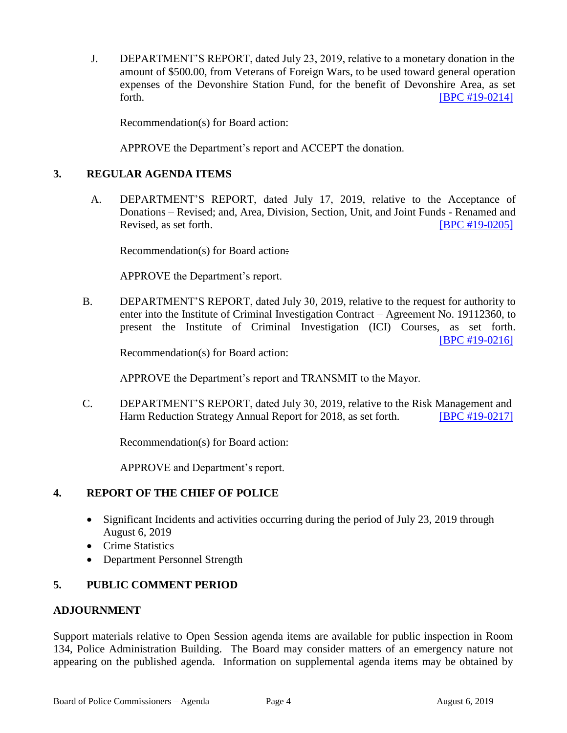J. DEPARTMENT'S REPORT, dated July 23, 2019, relative to a monetary donation in the amount of \$500.00, from Veterans of Foreign Wars, to be used toward general operation expenses of the Devonshire Station Fund, for the benefit of Devonshire Area, as set forth. **IBPC** #19-0214]

Recommendation(s) for Board action:

APPROVE the Department's report and ACCEPT the donation.

#### **3. REGULAR AGENDA ITEMS**

A. DEPARTMENT'S REPORT, dated July 17, 2019, relative to the Acceptance of Donations – Revised; and, Area, Division, Section, Unit, and Joint Funds - Renamed and Revised, as set forth. **[\[BPC #19-0205\]](http://www.lapdpolicecom.lacity.org/080619/BPC_19-0205.pdf)** 

Recommendation(s) for Board action:

APPROVE the Department's report.

B. DEPARTMENT'S REPORT, dated July 30, 2019, relative to the request for authority to enter into the Institute of Criminal Investigation Contract – Agreement No. 19112360, to present the Institute of Criminal Investigation (ICI) Courses, as set forth. [\[BPC #19-0216\]](http://www.lapdpolicecom.lacity.org/080619/BPC_19-0216.pdf)

Recommendation(s) for Board action:

APPROVE the Department's report and TRANSMIT to the Mayor.

C. DEPARTMENT'S REPORT, dated July 30, 2019, relative to the Risk Management and Harm Reduction Strategy Annual Report for 2018, as set forth. **[\[BPC #19-0217\]](http://www.lapdpolicecom.lacity.org/080619/BPC_19-0217.pdf)** 

Recommendation(s) for Board action:

APPROVE and Department's report.

#### **4. REPORT OF THE CHIEF OF POLICE**

- Significant Incidents and activities occurring during the period of July 23, 2019 through August 6, 2019
- Crime Statistics
- Department Personnel Strength

### **5. PUBLIC COMMENT PERIOD**

#### **ADJOURNMENT**

Support materials relative to Open Session agenda items are available for public inspection in Room 134, Police Administration Building. The Board may consider matters of an emergency nature not appearing on the published agenda. Information on supplemental agenda items may be obtained by